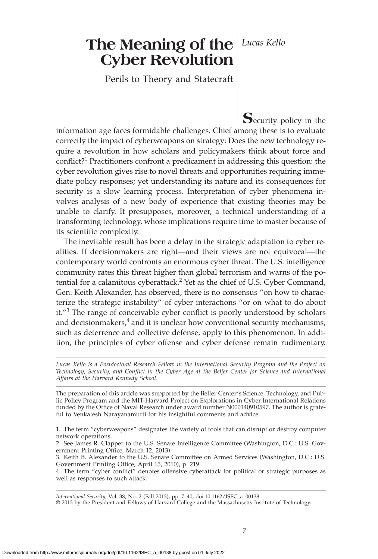# **The Meaning of the** *Lucas Kello* **Cyber Revolution**

Perils to Theory and Statecraft

Security policy in the information age faces formidable challenges. Chief among these is to evaluate correctly the impact of cyberweapons on strategy: Does the new technology require a revolution in how scholars and policymakers think about force and conflict?<sup>1</sup> Practitioners confront a predicament in addressing this question: the cyber revolution gives rise to novel threats and opportunities requiring immediate policy responses; yet understanding its nature and its consequences for security is a slow learning process. Interpretation of cyber phenomena involves analysis of a new body of experience that existing theories may be unable to clarify. It presupposes, moreover, a technical understanding of a transforming technology, whose implications require time to master because of its scientific complexity.

The inevitable result has been a delay in the strategic adaptation to cyber realities. If decisionmakers are right—and their views are not equivocal—the contemporary world confronts an enormous cyber threat. The U.S. intelligence community rates this threat higher than global terrorism and warns of the potential for a calamitous cyberattack.<sup>2</sup> Yet as the chief of U.S. Cyber Command, Gen. Keith Alexander, has observed, there is no consensus "on how to characterize the strategic instability" of cyber interactions "or on what to do about it."<sup>3</sup> The range of conceivable cyber conflict is poorly understood by scholars and decision makers, $4$  and it is unclear how conventional security mechanisms, such as deterrence and collective defense, apply to this phenomenon. In addition, the principles of cyber offense and cyber defense remain rudimentary.

*Lucas Kello is a Postdoctoral Research Fellow in the International Security Program and the Project on* Technology, Security, and Conflict in the Cyber Age at the Belfer Center for Science and International *Affairs at the Harvard Kennedy School*.

The preparation of this article was supported by the Belfer Center's Science, Technology, and Public Policy Program and the MIT-Harvard Project on Explorations in Cyber International Relations funded by the Office of Naval Research under award number N000140910597. The author is grateful to Venkatesh Narayanamurti for his insightful comments and advice.

1. The term "cyberweapons" designates the variety of tools that can disrupt or destroy computer network operations.

3. Keith B. Alexander to the U.S. Senate Committee on Armed Services (Washington, D.C.: U.S. Government Printing Office, April 15, 2010), p. 219.

4. The term "cyber conflict" denotes offensive cyberattack for political or strategic purposes as well as responses to such attack.

*International Security,* Vol. 38, No. 2 (Fall 2013), pp. 7–40, doi:10.1162/ISEC\_a\_00138

© 2013 by the President and Fellows of Harvard College and the Massachusetts Institute of Technology.

<sup>2.</sup> See James R. Clapper to the U.S. Senate Intelligence Committee (Washington, D.C.: U.S. Government Printing Office, March 12, 2013).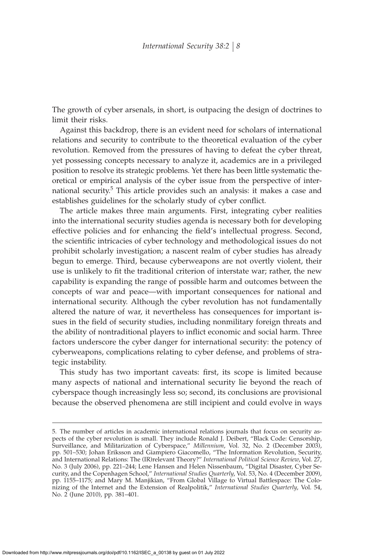The growth of cyber arsenals, in short, is outpacing the design of doctrines to limit their risks.

Against this backdrop, there is an evident need for scholars of international relations and security to contribute to the theoretical evaluation of the cyber revolution. Removed from the pressures of having to defeat the cyber threat, yet possessing concepts necessary to analyze it, academics are in a privileged position to resolve its strategic problems. Yet there has been little systematic theoretical or empirical analysis of the cyber issue from the perspective of international security.<sup>5</sup> This article provides such an analysis: it makes a case and establishes guidelines for the scholarly study of cyber conflict.

The article makes three main arguments. First, integrating cyber realities into the international security studies agenda is necessary both for developing effective policies and for enhancing the field's intellectual progress. Second, the scientific intricacies of cyber technology and methodological issues do not prohibit scholarly investigation; a nascent realm of cyber studies has already begun to emerge. Third, because cyberweapons are not overtly violent, their use is unlikely to fit the traditional criterion of interstate war; rather, the new capability is expanding the range of possible harm and outcomes between the concepts of war and peace—with important consequences for national and international security. Although the cyber revolution has not fundamentally altered the nature of war, it nevertheless has consequences for important issues in the field of security studies, including nonmilitary foreign threats and the ability of nontraditional players to inflict economic and social harm. Three factors underscore the cyber danger for international security: the potency of cyberweapons, complications relating to cyber defense, and problems of strategic instability.

This study has two important caveats: first, its scope is limited because many aspects of national and international security lie beyond the reach of cyberspace though increasingly less so; second, its conclusions are provisional because the observed phenomena are still incipient and could evolve in ways

<sup>5.</sup> The number of articles in academic international relations journals that focus on security aspects of the cyber revolution is small. They include Ronald J. Deibert, "Black Code: Censorship, Surveillance, and Militarization of Cyberspace," *Millennium*, Vol. 32, No. 2 (December 2003), pp. 501–530; Johan Eriksson and Giampiero Giacomello, "The Information Revolution, Security, and International Relations: The (IR)relevant Theory?" *International Political Science Review*, Vol. 27, No. 3 (July 2006), pp. 221–244; Lene Hansen and Helen Nissenbaum, "Digital Disaster, Cyber Security, and the Copenhagen School," *International Studies Quarterly*, Vol. 53, No. 4 (December 2009), pp. 1155–1175; and Mary M. Manjikian, "From Global Village to Virtual Battlespace: The Colonizing of the Internet and the Extension of Realpolitik," *International Studies Quarterly*, Vol. 54, No. 2 (June 2010), pp. 381–401.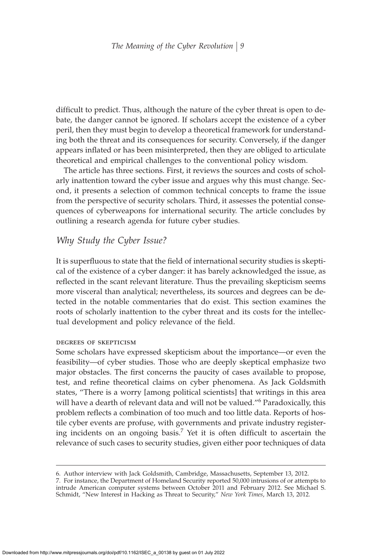difficult to predict. Thus, although the nature of the cyber threat is open to debate, the danger cannot be ignored. If scholars accept the existence of a cyber peril, then they must begin to develop a theoretical framework for understanding both the threat and its consequences for security. Conversely, if the danger appears inflated or has been misinterpreted, then they are obliged to articulate theoretical and empirical challenges to the conventional policy wisdom.

The article has three sections. First, it reviews the sources and costs of scholarly inattention toward the cyber issue and argues why this must change. Second, it presents a selection of common technical concepts to frame the issue from the perspective of security scholars. Third, it assesses the potential consequences of cyberweapons for international security. The article concludes by outlining a research agenda for future cyber studies.

# *Why Study the Cyber Issue?*

It is superfluous to state that the field of international security studies is skeptical of the existence of a cyber danger: it has barely acknowledged the issue, as reflected in the scant relevant literature. Thus the prevailing skepticism seems more visceral than analytical; nevertheless, its sources and degrees can be detected in the notable commentaries that do exist. This section examines the roots of scholarly inattention to the cyber threat and its costs for the intellectual development and policy relevance of the field.

#### degrees of skepticism

Some scholars have expressed skepticism about the importance—or even the feasibility—of cyber studies. Those who are deeply skeptical emphasize two major obstacles. The first concerns the paucity of cases available to propose, test, and refine theoretical claims on cyber phenomena. As Jack Goldsmith states, "There is a worry [among political scientists] that writings in this area will have a dearth of relevant data and will not be valued."<sup>6</sup> Paradoxically, this problem reflects a combination of too much and too little data. Reports of hostile cyber events are profuse, with governments and private industry registering incidents on an ongoing basis.<sup>7</sup> Yet it is often difficult to ascertain the relevance of such cases to security studies, given either poor techniques of data

<sup>6.</sup> Author interview with Jack Goldsmith, Cambridge, Massachusetts, September 13, 2012. 7. For instance, the Department of Homeland Security reported 50,000 intrusions of or attempts to intrude American computer systems between October 2011 and February 2012. See Michael S. Schmidt, "New Interest in Hacking as Threat to Security," *New York Times*, March 13, 2012.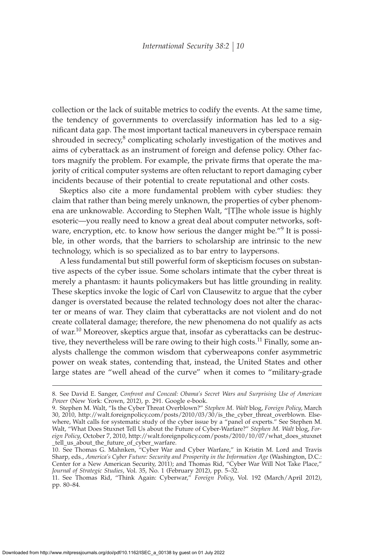collection or the lack of suitable metrics to codify the events. At the same time, the tendency of governments to overclassify information has led to a significant data gap. The most important tactical maneuvers in cyberspace remain shrouded in secrecy, $\delta$  complicating scholarly investigation of the motives and aims of cyberattack as an instrument of foreign and defense policy. Other factors magnify the problem. For example, the private firms that operate the majority of critical computer systems are often reluctant to report damaging cyber incidents because of their potential to create reputational and other costs.

Skeptics also cite a more fundamental problem with cyber studies: they claim that rather than being merely unknown, the properties of cyber phenomena are unknowable. According to Stephen Walt, "[T]he whole issue is highly esoteric—you really need to know a great deal about computer networks, software, encryption, etc. to know how serious the danger might be."<sup>9</sup> It is possible, in other words, that the barriers to scholarship are intrinsic to the new technology, which is so specialized as to bar entry to laypersons.

A less fundamental but still powerful form of skepticism focuses on substantive aspects of the cyber issue. Some scholars intimate that the cyber threat is merely a phantasm: it haunts policymakers but has little grounding in reality. These skeptics invoke the logic of Carl von Clausewitz to argue that the cyber danger is overstated because the related technology does not alter the character or means of war. They claim that cyberattacks are not violent and do not create collateral damage; therefore, the new phenomena do not qualify as acts of war.<sup>10</sup> Moreover, skeptics argue that, insofar as cyberattacks can be destructive, they nevertheless will be rare owing to their high costs.<sup>11</sup> Finally, some analysts challenge the common wisdom that cyberweapons confer asymmetric power on weak states, contending that, instead, the United States and other large states are "well ahead of the curve" when it comes to "military-grade

<sup>8.</sup> See David E. Sanger, *Confront and Conceal: Obama's Secret Wars and Surprising Use of American Power* (New York: Crown, 2012), p. 291. Google e-book.

<sup>9.</sup> Stephen M. Walt, "Is the Cyber Threat Overblown?" *Stephen M. Walt* blog, *Foreign Policy*, March 30, 2010, http://walt.foreignpolicy.com/posts/2010/03/30/is\_the\_cyber\_threat\_overblown. Elsewhere, Walt calls for systematic study of the cyber issue by a "panel of experts." See Stephen M. Walt, "What Does Stuxnet Tell Us about the Future of Cyber-Warfare?" *Stephen M. Walt* blog, *Foreign Policy*, October 7, 2010, http://walt.foreignpolicy.com/posts/2010/10/07/what\_does\_stuxnet \_tell\_us\_about\_the\_future\_of\_cyber\_warfare.

<sup>10.</sup> See Thomas G. Mahnken, "Cyber War and Cyber Warfare," in Kristin M. Lord and Travis Sharp, eds., *America's Cyber Future: Security and Prosperity in the Information Age* (Washington, D.C.: Center for a New American Security, 2011); and Thomas Rid, "Cyber War Will Not Take Place," *Journal of Strategic Studies*, Vol. 35, No. 1 (February 2012), pp. 5–32.

<sup>11.</sup> See Thomas Rid, "Think Again: Cyberwar," *Foreign Policy*, Vol. 192 (March/April 2012), pp. 80–84.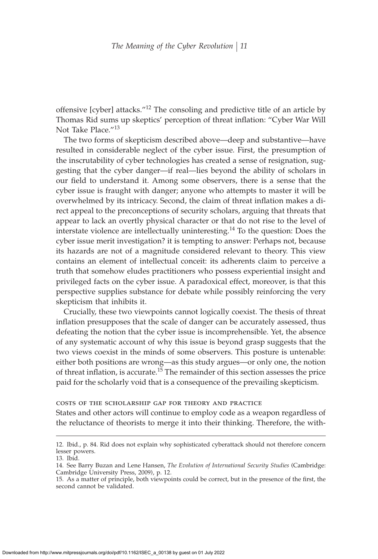offensive [cyber] attacks."<sup>12</sup> The consoling and predictive title of an article by Thomas Rid sums up skeptics' perception of threat inflation: "Cyber War Will Not Take Place."<sup>13</sup>

The two forms of skepticism described above—deep and substantive—have resulted in considerable neglect of the cyber issue. First, the presumption of the inscrutability of cyber technologies has created a sense of resignation, suggesting that the cyber danger—if real—lies beyond the ability of scholars in our field to understand it. Among some observers, there is a sense that the cyber issue is fraught with danger; anyone who attempts to master it will be overwhelmed by its intricacy. Second, the claim of threat inflation makes a direct appeal to the preconceptions of security scholars, arguing that threats that appear to lack an overtly physical character or that do not rise to the level of interstate violence are intellectually uninteresting.<sup>14</sup> To the question: Does the cyber issue merit investigation? it is tempting to answer: Perhaps not, because its hazards are not of a magnitude considered relevant to theory. This view contains an element of intellectual conceit: its adherents claim to perceive a truth that somehow eludes practitioners who possess experiential insight and privileged facts on the cyber issue. A paradoxical effect, moreover, is that this perspective supplies substance for debate while possibly reinforcing the very skepticism that inhibits it.

Crucially, these two viewpoints cannot logically coexist. The thesis of threat inflation presupposes that the scale of danger can be accurately assessed, thus defeating the notion that the cyber issue is incomprehensible. Yet, the absence of any systematic account of why this issue is beyond grasp suggests that the two views coexist in the minds of some observers. This posture is untenable: either both positions are wrong—as this study argues—or only one, the notion of threat inflation, is accurate.<sup>15</sup> The remainder of this section assesses the price paid for the scholarly void that is a consequence of the prevailing skepticism.

costs of the scholarship gap for theory and practice

States and other actors will continue to employ code as a weapon regardless of the reluctance of theorists to merge it into their thinking. Therefore, the with-

<sup>12.</sup> Ibid., p. 84. Rid does not explain why sophisticated cyberattack should not therefore concern lesser powers.

<sup>13.</sup> Ibid.

<sup>14.</sup> See Barry Buzan and Lene Hansen, *The Evolution of International Security Studies* (Cambridge: Cambridge University Press, 2009), p. 12.

<sup>15.</sup> As a matter of principle, both viewpoints could be correct, but in the presence of the first, the second cannot be validated.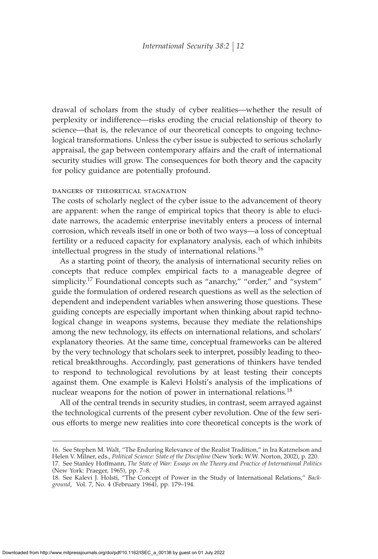drawal of scholars from the study of cyber realities—whether the result of perplexity or indifference—risks eroding the crucial relationship of theory to science—that is, the relevance of our theoretical concepts to ongoing technological transformations. Unless the cyber issue is subjected to serious scholarly appraisal, the gap between contemporary affairs and the craft of international security studies will grow. The consequences for both theory and the capacity for policy guidance are potentially profound.

#### dangers of theoretical stagnation

The costs of scholarly neglect of the cyber issue to the advancement of theory are apparent: when the range of empirical topics that theory is able to elucidate narrows, the academic enterprise inevitably enters a process of internal corrosion, which reveals itself in one or both of two ways—a loss of conceptual fertility or a reduced capacity for explanatory analysis, each of which inhibits intellectual progress in the study of international relations.<sup>16</sup>

As a starting point of theory, the analysis of international security relies on concepts that reduce complex empirical facts to a manageable degree of simplicity.<sup>17</sup> Foundational concepts such as "anarchy," "order," and "system" guide the formulation of ordered research questions as well as the selection of dependent and independent variables when answering those questions. These guiding concepts are especially important when thinking about rapid technological change in weapons systems, because they mediate the relationships among the new technology, its effects on international relations, and scholars' explanatory theories. At the same time, conceptual frameworks can be altered by the very technology that scholars seek to interpret, possibly leading to theoretical breakthroughs. Accordingly, past generations of thinkers have tended to respond to technological revolutions by at least testing their concepts against them. One example is Kalevi Holsti's analysis of the implications of nuclear weapons for the notion of power in international relations.<sup>18</sup>

All of the central trends in security studies, in contrast, seem arrayed against the technological currents of the present cyber revolution. One of the few serious efforts to merge new realities into core theoretical concepts is the work of

<sup>16.</sup> See Stephen M. Walt, "The Enduring Relevance of the Realist Tradition," in Ira Katznelson and Helen V. Milner, eds., *Political Science: State of the Discipline* (New York: W.W. Norton, 2002), p. 220. 17. See Stanley Hoffmann, *The State of War: Essays on the Theory and Practice of International Politics* (New York: Praeger, 1965), pp. 7–8.

<sup>18.</sup> See Kalevi J. Holsti, "The Concept of Power in the Study of International Relations," *Background*, Vol. 7, No. 4 (February 1964), pp. 179–194.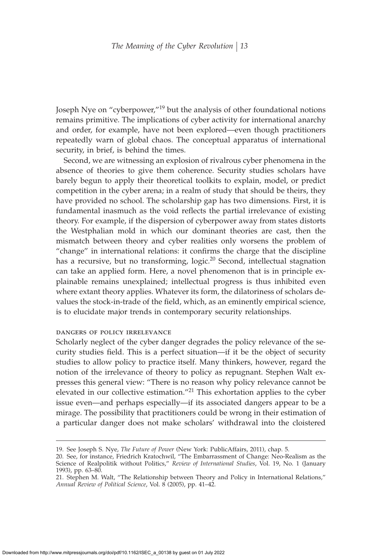Joseph Nye on "cyberpower,"<sup>19</sup> but the analysis of other foundational notions remains primitive. The implications of cyber activity for international anarchy and order, for example, have not been explored—even though practitioners repeatedly warn of global chaos. The conceptual apparatus of international security, in brief, is behind the times.

Second, we are witnessing an explosion of rivalrous cyber phenomena in the absence of theories to give them coherence. Security studies scholars have barely begun to apply their theoretical toolkits to explain, model, or predict competition in the cyber arena; in a realm of study that should be theirs, they have provided no school. The scholarship gap has two dimensions. First, it is fundamental inasmuch as the void reflects the partial irrelevance of existing theory. For example, if the dispersion of cyberpower away from states distorts the Westphalian mold in which our dominant theories are cast, then the mismatch between theory and cyber realities only worsens the problem of "change" in international relations: it confirms the charge that the discipline has a recursive, but no transforming, logic.<sup>20</sup> Second, intellectual stagnation can take an applied form. Here, a novel phenomenon that is in principle explainable remains unexplained; intellectual progress is thus inhibited even where extant theory applies. Whatever its form, the dilatoriness of scholars devalues the stock-in-trade of the field, which, as an eminently empirical science, is to elucidate major trends in contemporary security relationships.

### dangers of policy irrelevance

Scholarly neglect of the cyber danger degrades the policy relevance of the security studies field. This is a perfect situation—if it be the object of security studies to allow policy to practice itself. Many thinkers, however, regard the notion of the irrelevance of theory to policy as repugnant. Stephen Walt expresses this general view: "There is no reason why policy relevance cannot be elevated in our collective estimation."<sup>21</sup> This exhortation applies to the cyber issue even—and perhaps especially—if its associated dangers appear to be a mirage. The possibility that practitioners could be wrong in their estimation of a particular danger does not make scholars' withdrawal into the cloistered

<sup>19.</sup> See Joseph S. Nye, *The Future of Power* (New York: PublicAffairs, 2011), chap. 5.

<sup>20.</sup> See, for instance, Friedrich Kratochwil, "The Embarrassment of Change: Neo-Realism as the Science of Realpolitik without Politics," *Review of International Studies*, Vol. 19, No. 1 (January 1993), pp. 63–80.

<sup>21.</sup> Stephen M. Walt, "The Relationship between Theory and Policy in International Relations," *Annual Review of Political Science*, Vol. 8 (2005), pp. 41–42.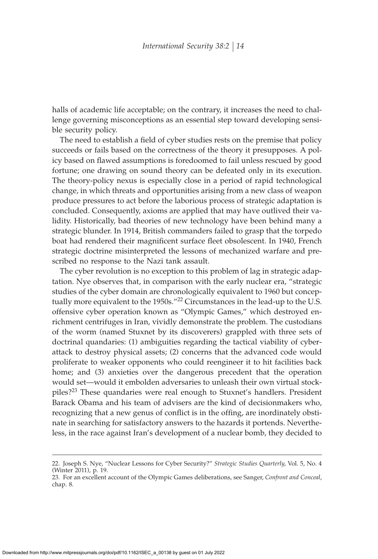halls of academic life acceptable; on the contrary, it increases the need to challenge governing misconceptions as an essential step toward developing sensible security policy.

The need to establish a field of cyber studies rests on the premise that policy succeeds or fails based on the correctness of the theory it presupposes. A policy based on flawed assumptions is foredoomed to fail unless rescued by good fortune; one drawing on sound theory can be defeated only in its execution. The theory-policy nexus is especially close in a period of rapid technological change, in which threats and opportunities arising from a new class of weapon produce pressures to act before the laborious process of strategic adaptation is concluded. Consequently, axioms are applied that may have outlived their validity. Historically, bad theories of new technology have been behind many a strategic blunder. In 1914, British commanders failed to grasp that the torpedo boat had rendered their magnificent surface fleet obsolescent. In 1940, French strategic doctrine misinterpreted the lessons of mechanized warfare and prescribed no response to the Nazi tank assault.

The cyber revolution is no exception to this problem of lag in strategic adaptation. Nye observes that, in comparison with the early nuclear era, "strategic studies of the cyber domain are chronologically equivalent to 1960 but conceptually more equivalent to the 1950s."<sup>22</sup> Circumstances in the lead-up to the U.S. offensive cyber operation known as "Olympic Games," which destroyed enrichment centrifuges in Iran, vividly demonstrate the problem. The custodians of the worm (named Stuxnet by its discoverers) grappled with three sets of doctrinal quandaries: (1) ambiguities regarding the tactical viability of cyberattack to destroy physical assets; (2) concerns that the advanced code would proliferate to weaker opponents who could reengineer it to hit facilities back home; and (3) anxieties over the dangerous precedent that the operation would set—would it embolden adversaries to unleash their own virtual stockpiles?23 These quandaries were real enough to Stuxnet's handlers. President Barack Obama and his team of advisers are the kind of decisionmakers who, recognizing that a new genus of conflict is in the offing, are inordinately obstinate in searching for satisfactory answers to the hazards it portends. Nevertheless, in the race against Iran's development of a nuclear bomb, they decided to

<sup>22.</sup> Joseph S. Nye, "Nuclear Lessons for Cyber Security?" *Strategic Studies Quarterly*, Vol. 5, No. 4 (Winter 2011), p. 19.

<sup>23.</sup> For an excellent account of the Olympic Games deliberations, see Sanger, *Confront and Conceal*, chap. 8.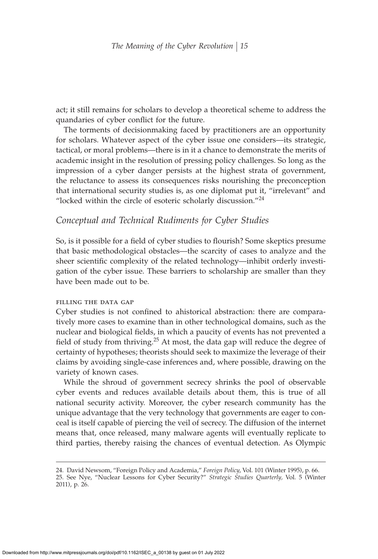act; it still remains for scholars to develop a theoretical scheme to address the quandaries of cyber conflict for the future.

The torments of decisionmaking faced by practitioners are an opportunity for scholars. Whatever aspect of the cyber issue one considers—its strategic, tactical, or moral problems—there is in it a chance to demonstrate the merits of academic insight in the resolution of pressing policy challenges. So long as the impression of a cyber danger persists at the highest strata of government, the reluctance to assess its consequences risks nourishing the preconception that international security studies is, as one diplomat put it, "irrelevant" and "locked within the circle of esoteric scholarly discussion."<sup>24</sup>

# *Conceptual and Technical Rudiments for Cyber Studies*

So, is it possible for a field of cyber studies to flourish? Some skeptics presume that basic methodological obstacles—the scarcity of cases to analyze and the sheer scientific complexity of the related technology—inhibit orderly investigation of the cyber issue. These barriers to scholarship are smaller than they have been made out to be.

#### FILLING THE DATA GAP

Cyber studies is not confined to ahistorical abstraction: there are comparatively more cases to examine than in other technological domains, such as the nuclear and biological fields, in which a paucity of events has not prevented a field of study from thriving.<sup>25</sup> At most, the data gap will reduce the degree of certainty of hypotheses; theorists should seek to maximize the leverage of their claims by avoiding single-case inferences and, where possible, drawing on the variety of known cases.

While the shroud of government secrecy shrinks the pool of observable cyber events and reduces available details about them, this is true of all national security activity. Moreover, the cyber research community has the unique advantage that the very technology that governments are eager to conceal is itself capable of piercing the veil of secrecy. The diffusion of the internet means that, once released, many malware agents will eventually replicate to third parties, thereby raising the chances of eventual detection. As Olympic

<sup>24.</sup> David Newsom, "Foreign Policy and Academia," *Foreign Policy*, Vol. 101 (Winter 1995), p. 66. 25. See Nye, "Nuclear Lessons for Cyber Security?" *Strategic Studies Quarterly,* Vol. 5 (Winter 2011), p. 26.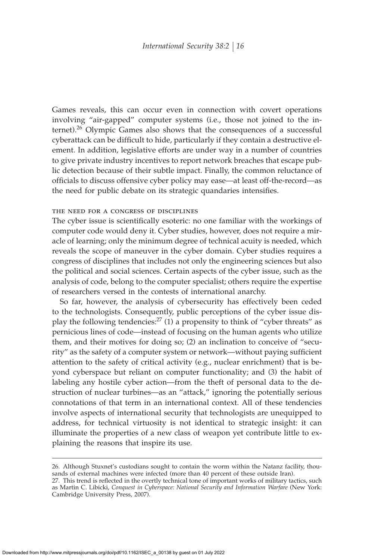Games reveals, this can occur even in connection with covert operations involving "air-gapped" computer systems (i.e., those not joined to the internet). $26$  Olympic Games also shows that the consequences of a successful cyberattack can be difficult to hide, particularly if they contain a destructive element. In addition, legislative efforts are under way in a number of countries to give private industry incentives to report network breaches that escape public detection because of their subtle impact. Finally, the common reluctance of officials to discuss offensive cyber policy may ease—at least off-the-record—as the need for public debate on its strategic quandaries intensifies.

#### the need for a congress of disciplines

The cyber issue is scientifically esoteric: no one familiar with the workings of computer code would deny it. Cyber studies, however, does not require a miracle of learning; only the minimum degree of technical acuity is needed, which reveals the scope of maneuver in the cyber domain. Cyber studies requires a congress of disciplines that includes not only the engineering sciences but also the political and social sciences. Certain aspects of the cyber issue, such as the analysis of code, belong to the computer specialist; others require the expertise of researchers versed in the contests of international anarchy.

So far, however, the analysis of cybersecurity has effectively been ceded to the technologists. Consequently, public perceptions of the cyber issue display the following tendencies: $^{27}$  (1) a propensity to think of "cyber threats" as pernicious lines of code—instead of focusing on the human agents who utilize them, and their motives for doing so; (2) an inclination to conceive of "security" as the safety of a computer system or network—without paying sufficient attention to the safety of critical activity (e.g., nuclear enrichment) that is beyond cyberspace but reliant on computer functionality; and (3) the habit of labeling any hostile cyber action—from the theft of personal data to the destruction of nuclear turbines—as an "attack," ignoring the potentially serious connotations of that term in an international context. All of these tendencies involve aspects of international security that technologists are unequipped to address, for technical virtuosity is not identical to strategic insight: it can illuminate the properties of a new class of weapon yet contribute little to explaining the reasons that inspire its use.

<sup>26.</sup> Although Stuxnet's custodians sought to contain the worm within the Natanz facility, thousands of external machines were infected (more than 40 percent of these outside Iran).

<sup>27.</sup> This trend is reflected in the overtly technical tone of important works of military tactics, such as Martin C. Libicki, *Conquest in Cyberspace: National Security and Information Warfare* (New York: Cambridge University Press, 2007).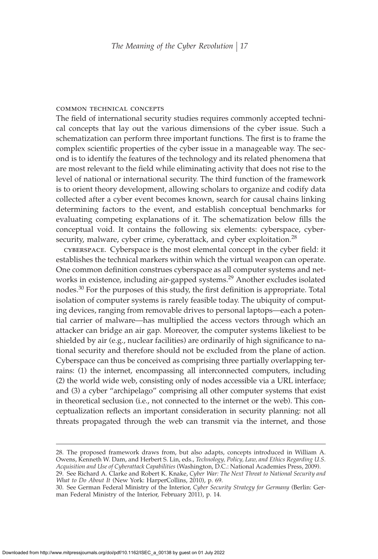#### common technical concepts

The field of international security studies requires commonly accepted technical concepts that lay out the various dimensions of the cyber issue. Such a schematization can perform three important functions. The first is to frame the complex scientific properties of the cyber issue in a manageable way. The second is to identify the features of the technology and its related phenomena that are most relevant to the field while eliminating activity that does not rise to the level of national or international security. The third function of the framework is to orient theory development, allowing scholars to organize and codify data collected after a cyber event becomes known, search for causal chains linking determining factors to the event, and establish conceptual benchmarks for evaluating competing explanations of it. The schematization below fills the conceptual void. It contains the following six elements: cyberspace, cybersecurity, malware, cyber crime, cyberattack, and cyber exploitation.<sup>28</sup>

CYBERSPACE. Cyberspace is the most elemental concept in the cyber field: it establishes the technical markers within which the virtual weapon can operate. One common definition construes cyberspace as all computer systems and networks in existence, including air-gapped systems.<sup>29</sup> Another excludes isolated nodes.<sup>30</sup> For the purposes of this study, the first definition is appropriate. Total isolation of computer systems is rarely feasible today. The ubiquity of computing devices, ranging from removable drives to personal laptops—each a potential carrier of malware—has multiplied the access vectors through which an attacker can bridge an air gap. Moreover, the computer systems likeliest to be shielded by air (e.g., nuclear facilities) are ordinarily of high significance to national security and therefore should not be excluded from the plane of action. Cyberspace can thus be conceived as comprising three partially overlapping terrains: (1) the internet, encompassing all interconnected computers, including (2) the world wide web, consisting only of nodes accessible via a URL interface; and (3) a cyber "archipelago" comprising all other computer systems that exist in theoretical seclusion (i.e., not connected to the internet or the web). This conceptualization reflects an important consideration in security planning: not all threats propagated through the web can transmit via the internet, and those

*What to Do About It* (New York: HarperCollins, 2010), p. 69.

<sup>28.</sup> The proposed framework draws from, but also adapts, concepts introduced in William A. Owens, Kenneth W. Dam, and Herbert S. Lin, eds., *Technology, Policy, Law, and Ethics Regarding U.S. Acquisition and Use of Cyberattack Capabilities* (Washington, D.C.: National Academies Press, 2009). 29. See Richard A. Clarke and Robert K. Knake, *Cyber War: The Next Threat to National Security and*

<sup>30.</sup> See German Federal Ministry of the Interior, *Cyber Security Strategy for Germany* (Berlin: German Federal Ministry of the Interior, February 2011), p. 14.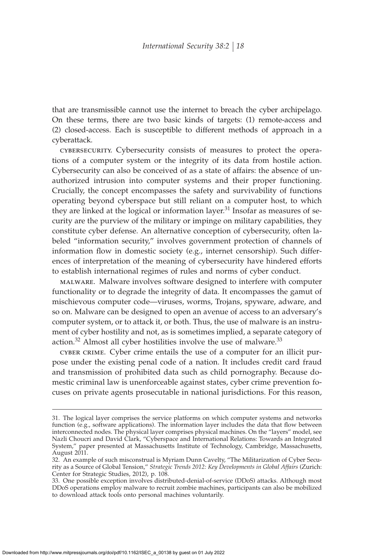that are transmissible cannot use the internet to breach the cyber archipelago. On these terms, there are two basic kinds of targets: (1) remote-access and (2) closed-access. Each is susceptible to different methods of approach in a cyberattack.

cybersecurity. Cybersecurity consists of measures to protect the operations of a computer system or the integrity of its data from hostile action. Cybersecurity can also be conceived of as a state of affairs: the absence of unauthorized intrusion into computer systems and their proper functioning. Crucially, the concept encompasses the safety and survivability of functions operating beyond cyberspace but still reliant on a computer host, to which they are linked at the logical or information layer.<sup>31</sup> Insofar as measures of security are the purview of the military or impinge on military capabilities, they constitute cyber defense. An alternative conception of cybersecurity, often labeled "information security," involves government protection of channels of information flow in domestic society (e.g., internet censorship). Such differences of interpretation of the meaning of cybersecurity have hindered efforts to establish international regimes of rules and norms of cyber conduct.

malware. Malware involves software designed to interfere with computer functionality or to degrade the integrity of data. It encompasses the gamut of mischievous computer code—viruses, worms, Trojans, spyware, adware, and so on. Malware can be designed to open an avenue of access to an adversary's computer system, or to attack it, or both. Thus, the use of malware is an instrument of cyber hostility and not, as is sometimes implied, a separate category of action.<sup>32</sup> Almost all cyber hostilities involve the use of malware.<sup>33</sup>

cyber crime. Cyber crime entails the use of a computer for an illicit purpose under the existing penal code of a nation. It includes credit card fraud and transmission of prohibited data such as child pornography. Because domestic criminal law is unenforceable against states, cyber crime prevention focuses on private agents prosecutable in national jurisdictions. For this reason,

<sup>31.</sup> The logical layer comprises the service platforms on which computer systems and networks function  $(e.g.,$  software applications). The information layer includes the data that flow between interconnected nodes. The physical layer comprises physical machines. On the "layers" model, see Nazli Choucri and David Clark, "Cyberspace and International Relations: Towards an Integrated System," paper presented at Massachusetts Institute of Technology, Cambridge, Massachusetts, August 2011.

<sup>32.</sup> An example of such misconstrual is Myriam Dunn Cavelty, "The Militarization of Cyber Security as a Source of Global Tension," *Strategic Trends 2012: Key Developments in Global Affairs* (Zurich: Center for Strategic Studies, 2012), p. 108.

<sup>33.</sup> One possible exception involves distributed-denial-of-service (DDoS) attacks. Although most DDoS operations employ malware to recruit zombie machines, participants can also be mobilized to download attack tools onto personal machines voluntarily.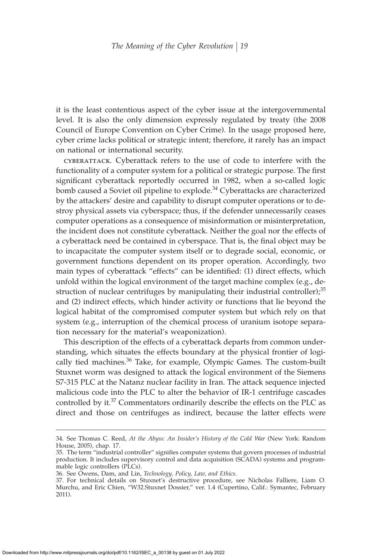it is the least contentious aspect of the cyber issue at the intergovernmental level. It is also the only dimension expressly regulated by treaty (the 2008 Council of Europe Convention on Cyber Crime). In the usage proposed here, cyber crime lacks political or strategic intent; therefore, it rarely has an impact on national or international security.

cyberattack. Cyberattack refers to the use of code to interfere with the functionality of a computer system for a political or strategic purpose. The first significant cyberattack reportedly occurred in 1982, when a so-called logic bomb caused a Soviet oil pipeline to explode.<sup>34</sup> Cyberattacks are characterized by the attackers' desire and capability to disrupt computer operations or to destroy physical assets via cyberspace; thus, if the defender unnecessarily ceases computer operations as a consequence of misinformation or misinterpretation, the incident does not constitute cyberattack. Neither the goal nor the effects of a cyberattack need be contained in cyberspace. That is, the final object may be to incapacitate the computer system itself or to degrade social, economic, or government functions dependent on its proper operation. Accordingly, two main types of cyberattack "effects" can be identified: (1) direct effects, which unfold within the logical environment of the target machine complex (e.g., destruction of nuclear centrifuges by manipulating their industrial controller); $35$ and (2) indirect effects, which hinder activity or functions that lie beyond the logical habitat of the compromised computer system but which rely on that system (e.g., interruption of the chemical process of uranium isotope separation necessary for the material's weaponization).

This description of the effects of a cyberattack departs from common understanding, which situates the effects boundary at the physical frontier of logically tied machines.<sup>36</sup> Take, for example, Olympic Games. The custom-built Stuxnet worm was designed to attack the logical environment of the Siemens S7-315 PLC at the Natanz nuclear facility in Iran. The attack sequence injected malicious code into the PLC to alter the behavior of IR-1 centrifuge cascades controlled by it.<sup>37</sup> Commentators ordinarily describe the effects on the PLC as direct and those on centrifuges as indirect, because the latter effects were

<sup>34.</sup> See Thomas C. Reed, *At the Abyss: An Insider's History of the Cold War* (New York: Random House, 2005), chap. 17.

<sup>35.</sup> The term "industrial controller" signifies computer systems that govern processes of industrial production. It includes supervisory control and data acquisition (SCADA) systems and programmable logic controllers (PLCs).

<sup>36.</sup> See Owens, Dam, and Lin, *Technology, Policy, Law, and Ethics*.

<sup>37.</sup> For technical details on Stuxnet's destructive procedure, see Nicholas Falliere, Liam O. Murchu, and Eric Chien, "W32.Stuxnet Dossier," ver. 1.4 (Cupertino, Calif.: Symantec, February 2011).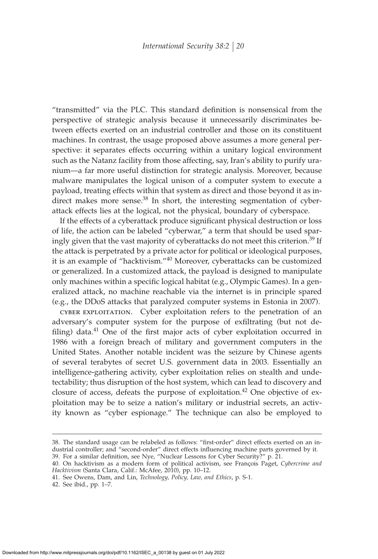"transmitted" via the PLC. This standard definition is nonsensical from the perspective of strategic analysis because it unnecessarily discriminates between effects exerted on an industrial controller and those on its constituent machines. In contrast, the usage proposed above assumes a more general perspective: it separates effects occurring within a unitary logical environment such as the Natanz facility from those affecting, say, Iran's ability to purify uranium—a far more useful distinction for strategic analysis. Moreover, because malware manipulates the logical unison of a computer system to execute a payload, treating effects within that system as direct and those beyond it as indirect makes more sense. $38$  In short, the interesting segmentation of cyberattack effects lies at the logical, not the physical, boundary of cyberspace.

If the effects of a cyberattack produce significant physical destruction or loss of life, the action can be labeled "cyberwar," a term that should be used sparingly given that the vast majority of cyberattacks do not meet this criterion.<sup>39</sup> If the attack is perpetrated by a private actor for political or ideological purposes, it is an example of "hacktivism."<sup>40</sup> Moreover, cyberattacks can be customized or generalized. In a customized attack, the payload is designed to manipulate only machines within a specific logical habitat (e.g., Olympic Games). In a generalized attack, no machine reachable via the internet is in principle spared (e.g., the DDoS attacks that paralyzed computer systems in Estonia in 2007).

cyber exploitation. Cyber exploitation refers to the penetration of an adversary's computer system for the purpose of exfiltrating (but not defiling) data. $^{41}$  One of the first major acts of cyber exploitation occurred in 1986 with a foreign breach of military and government computers in the United States. Another notable incident was the seizure by Chinese agents of several terabytes of secret U.S. government data in 2003. Essentially an intelligence-gathering activity, cyber exploitation relies on stealth and undetectability; thus disruption of the host system, which can lead to discovery and closure of access, defeats the purpose of exploitation.<sup>42</sup> One objective of exploitation may be to seize a nation's military or industrial secrets, an activity known as "cyber espionage." The technique can also be employed to

- 41. See Owens, Dam, and Lin, *Technology, Policy, Law, and Ethics*, p. S-1.
- 42. See ibid., pp. 1–7.

<sup>38.</sup> The standard usage can be relabeled as follows: "first-order" direct effects exerted on an industrial controller; and "second-order" direct effects influencing machine parts governed by it. 39. For a similar definition, see Nye, "Nuclear Lessons for Cyber Security?" p. 21.

<sup>40.</sup> On hacktivism as a modern form of political activism, see François Paget, *Cybercrime and Hacktivism* (Santa Clara, Calif.: McAfee, 2010), pp. 10–12.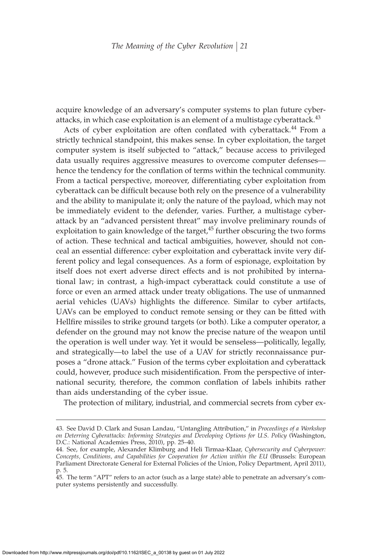acquire knowledge of an adversary's computer systems to plan future cyberattacks, in which case exploitation is an element of a multistage cyberattack.<sup>43</sup>

Acts of cyber exploitation are often conflated with cyberattack.<sup>44</sup> From a strictly technical standpoint, this makes sense. In cyber exploitation, the target computer system is itself subjected to "attack," because access to privileged data usually requires aggressive measures to overcome computer defenses hence the tendency for the conflation of terms within the technical community. From a tactical perspective, moreover, differentiating cyber exploitation from cyberattack can be difficult because both rely on the presence of a vulnerability and the ability to manipulate it; only the nature of the payload, which may not be immediately evident to the defender, varies. Further, a multistage cyberattack by an "advanced persistent threat" may involve preliminary rounds of exploitation to gain knowledge of the target,<sup>45</sup> further obscuring the two forms of action. These technical and tactical ambiguities, however, should not conceal an essential difference: cyber exploitation and cyberattack invite very different policy and legal consequences. As a form of espionage, exploitation by itself does not exert adverse direct effects and is not prohibited by international law; in contrast, a high-impact cyberattack could constitute a use of force or even an armed attack under treaty obligations. The use of unmanned aerial vehicles (UAVs) highlights the difference. Similar to cyber artifacts, UAVs can be employed to conduct remote sensing or they can be fitted with Hellfire missiles to strike ground targets (or both). Like a computer operator, a defender on the ground may not know the precise nature of the weapon until the operation is well under way. Yet it would be senseless—politically, legally, and strategically—to label the use of a UAV for strictly reconnaissance purposes a "drone attack." Fusion of the terms cyber exploitation and cyberattack could, however, produce such misidentification. From the perspective of international security, therefore, the common conflation of labels inhibits rather than aids understanding of the cyber issue.

The protection of military, industrial, and commercial secrets from cyber ex-

<sup>43.</sup> See David D. Clark and Susan Landau, "Untangling Attribution," in *Proceedings of a Workshop on Deterring Cyberattacks: Informing Strategies and Developing Options for U.S. Policy* (Washington, D.C.: National Academies Press, 2010), pp. 25-40.

<sup>44.</sup> See, for example, Alexander Klimburg and Heli Tirmaa-Klaar, *Cybersecurity and Cyberpower: Concepts, Conditions, and Capabilities for Cooperation for Action within the EU* (Brussels: European Parliament Directorate General for External Policies of the Union, Policy Department, April 2011), p. 5.

<sup>45.</sup> The term "APT" refers to an actor (such as a large state) able to penetrate an adversary's computer systems persistently and successfully.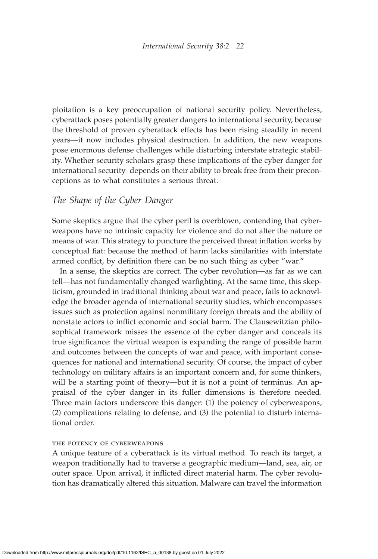ploitation is a key preoccupation of national security policy. Nevertheless, cyberattack poses potentially greater dangers to international security, because the threshold of proven cyberattack effects has been rising steadily in recent years—it now includes physical destruction. In addition, the new weapons pose enormous defense challenges while disturbing interstate strategic stability. Whether security scholars grasp these implications of the cyber danger for international security depends on their ability to break free from their preconceptions as to what constitutes a serious threat.

# *The Shape of the Cyber Danger*

Some skeptics argue that the cyber peril is overblown, contending that cyberweapons have no intrinsic capacity for violence and do not alter the nature or means of war. This strategy to puncture the perceived threat inflation works by conceptual fiat: because the method of harm lacks similarities with interstate armed conflict, by definition there can be no such thing as cyber "war."

In a sense, the skeptics are correct. The cyber revolution—as far as we can tell—has not fundamentally changed warfighting. At the same time, this skepticism, grounded in traditional thinking about war and peace, fails to acknowledge the broader agenda of international security studies, which encompasses issues such as protection against nonmilitary foreign threats and the ability of nonstate actors to inflict economic and social harm. The Clausewitzian philosophical framework misses the essence of the cyber danger and conceals its true significance: the virtual weapon is expanding the range of possible harm and outcomes between the concepts of war and peace, with important consequences for national and international security. Of course, the impact of cyber technology on military affairs is an important concern and, for some thinkers, will be a starting point of theory—but it is not a point of terminus. An appraisal of the cyber danger in its fuller dimensions is therefore needed. Three main factors underscore this danger: (1) the potency of cyberweapons, (2) complications relating to defense, and (3) the potential to disturb international order.

#### the potency of cyberweapons

A unique feature of a cyberattack is its virtual method. To reach its target, a weapon traditionally had to traverse a geographic medium—land, sea, air, or outer space. Upon arrival, it inflicted direct material harm. The cyber revolution has dramatically altered this situation. Malware can travel the information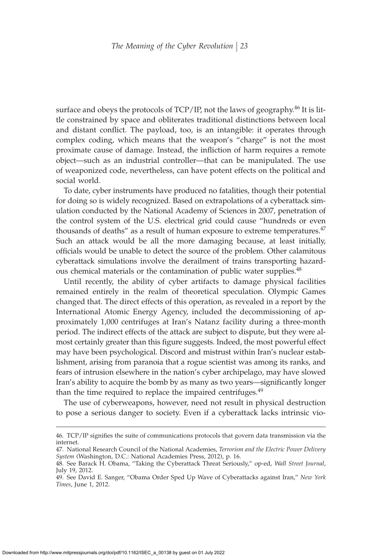surface and obeys the protocols of  $TCP/IP$ , not the laws of geography.<sup>46</sup> It is little constrained by space and obliterates traditional distinctions between local and distant conflict. The payload, too, is an intangible: it operates through complex coding, which means that the weapon's "charge" is not the most proximate cause of damage. Instead, the infliction of harm requires a remote object—such as an industrial controller—that can be manipulated. The use of weaponized code, nevertheless, can have potent effects on the political and social world.

To date, cyber instruments have produced no fatalities, though their potential for doing so is widely recognized. Based on extrapolations of a cyberattack simulation conducted by the National Academy of Sciences in 2007, penetration of the control system of the U.S. electrical grid could cause "hundreds or even thousands of deaths" as a result of human exposure to extreme temperatures.<sup>47</sup> Such an attack would be all the more damaging because, at least initially, officials would be unable to detect the source of the problem. Other calamitous cyberattack simulations involve the derailment of trains transporting hazardous chemical materials or the contamination of public water supplies.<sup>48</sup>

Until recently, the ability of cyber artifacts to damage physical facilities remained entirely in the realm of theoretical speculation. Olympic Games changed that. The direct effects of this operation, as revealed in a report by the International Atomic Energy Agency, included the decommissioning of approximately 1,000 centrifuges at Iran's Natanz facility during a three-month period. The indirect effects of the attack are subject to dispute, but they were almost certainly greater than this figure suggests. Indeed, the most powerful effect may have been psychological. Discord and mistrust within Iran's nuclear establishment, arising from paranoia that a rogue scientist was among its ranks, and fears of intrusion elsewhere in the nation's cyber archipelago, may have slowed Iran's ability to acquire the bomb by as many as two years—significantly longer than the time required to replace the impaired centrifuges. $49$ 

The use of cyberweapons, however, need not result in physical destruction to pose a serious danger to society. Even if a cyberattack lacks intrinsic vio-

<sup>46.</sup> TCP/IP signifies the suite of communications protocols that govern data transmission via the internet.

<sup>47.</sup> National Research Council of the National Academies, *Terrorism and the Electric Power Delivery System* (Washington, D.C.: National Academies Press, 2012), p. 16.

<sup>48.</sup> See Barack H. Obama, "Taking the Cyberattack Threat Seriously," op-ed, *Wall Street Journal*, July 19, 2012.

<sup>49.</sup> See David E. Sanger, "Obama Order Sped Up Wave of Cyberattacks against Iran," *New York Times*, June 1, 2012.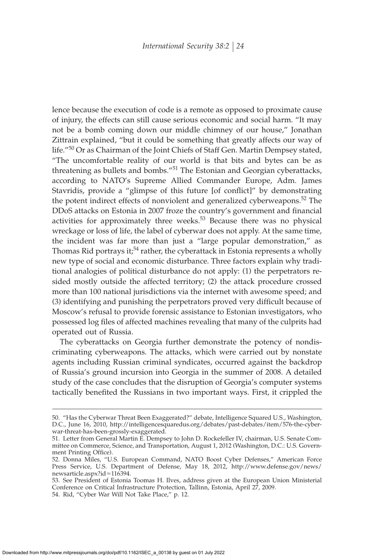lence because the execution of code is a remote as opposed to proximate cause of injury, the effects can still cause serious economic and social harm. "It may not be a bomb coming down our middle chimney of our house," Jonathan Zittrain explained, "but it could be something that greatly affects our way of life."<sup>50</sup> Or as Chairman of the Joint Chiefs of Staff Gen. Martin Dempsey stated, "The uncomfortable reality of our world is that bits and bytes can be as threatening as bullets and bombs."<sup>51</sup> The Estonian and Georgian cyberattacks, according to NATO's Supreme Allied Commander Europe, Adm. James Stavridis, provide a "glimpse of this future [of conflict]" by demonstrating the potent indirect effects of nonviolent and generalized cyberweapons.<sup>52</sup> The DDoS attacks on Estonia in 2007 froze the country's government and financial activities for approximately three weeks. $53$  Because there was no physical wreckage or loss of life, the label of cyberwar does not apply. At the same time, the incident was far more than just a "large popular demonstration," as Thomas Rid portrays it;<sup>54</sup> rather, the cyberattack in Estonia represents a wholly new type of social and economic disturbance. Three factors explain why traditional analogies of political disturbance do not apply: (1) the perpetrators resided mostly outside the affected territory; (2) the attack procedure crossed more than 100 national jurisdictions via the internet with awesome speed; and (3) identifying and punishing the perpetrators proved very difficult because of Moscow's refusal to provide forensic assistance to Estonian investigators, who possessed log files of affected machines revealing that many of the culprits had operated out of Russia.

The cyberattacks on Georgia further demonstrate the potency of nondiscriminating cyberweapons. The attacks, which were carried out by nonstate agents including Russian criminal syndicates, occurred against the backdrop of Russia's ground incursion into Georgia in the summer of 2008. A detailed study of the case concludes that the disruption of Georgia's computer systems tactically benefited the Russians in two important ways. First, it crippled the

<sup>50. &</sup>quot;Has the Cyberwar Threat Been Exaggerated?" debate, Intelligence Squared U.S., Washington, D.C., June 16, 2010, http://intelligencesquaredus.org/debates/past-debates/item/576-the-cyberwar-threat-has-been-grossly-exaggerated.

<sup>51.</sup> Letter from General Martin E. Dempsey to John D. Rockefeller IV, chairman, U.S. Senate Committee on Commerce, Science, and Transportation, August 1, 2012 (Washington, D.C.: U.S. Government Printing Office).

<sup>52.</sup> Donna Miles, "U.S. European Command, NATO Boost Cyber Defenses," American Force Press Service, U.S. Department of Defense, May 18, 2012, http://www.defense.gov/news/ newsarticle.aspx?id-116394.

<sup>53.</sup> See President of Estonia Toomas H. Ilves, address given at the European Union Ministerial Conference on Critical Infrastructure Protection, Tallinn, Estonia, April 27, 2009.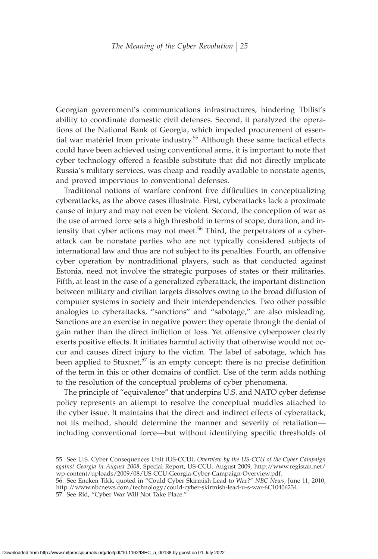Georgian government's communications infrastructures, hindering Tbilisi's ability to coordinate domestic civil defenses. Second, it paralyzed the operations of the National Bank of Georgia, which impeded procurement of essential war matériel from private industry.<sup>55</sup> Although these same tactical effects could have been achieved using conventional arms, it is important to note that cyber technology offered a feasible substitute that did not directly implicate Russia's military services, was cheap and readily available to nonstate agents, and proved impervious to conventional defenses.

Traditional notions of warfare confront five difficulties in conceptualizing cyberattacks, as the above cases illustrate. First, cyberattacks lack a proximate cause of injury and may not even be violent. Second, the conception of war as the use of armed force sets a high threshold in terms of scope, duration, and intensity that cyber actions may not meet.<sup>56</sup> Third, the perpetrators of a cyberattack can be nonstate parties who are not typically considered subjects of international law and thus are not subject to its penalties. Fourth, an offensive cyber operation by nontraditional players, such as that conducted against Estonia, need not involve the strategic purposes of states or their militaries. Fifth, at least in the case of a generalized cyberattack, the important distinction between military and civilian targets dissolves owing to the broad diffusion of computer systems in society and their interdependencies. Two other possible analogies to cyberattacks, "sanctions" and "sabotage," are also misleading. Sanctions are an exercise in negative power: they operate through the denial of gain rather than the direct infliction of loss. Yet offensive cyberpower clearly exerts positive effects. It initiates harmful activity that otherwise would not occur and causes direct injury to the victim. The label of sabotage, which has been applied to Stuxnet, $57$  is an empty concept: there is no precise definition of the term in this or other domains of conflict. Use of the term adds nothing to the resolution of the conceptual problems of cyber phenomena.

The principle of "equivalence" that underpins U.S. and NATO cyber defense policy represents an attempt to resolve the conceptual muddles attached to the cyber issue. It maintains that the direct and indirect effects of cyberattack, not its method, should determine the manner and severity of retaliation including conventional force—but without identifying specific thresholds of

<sup>55.</sup> See U.S. Cyber Consequences Unit (US-CCU), *Overview by the US-CCU of the Cyber Campaign against Georgia in August 2008*, Special Report, US-CCU, August 2009, http://www.registan.net/ wp-content/uploads/2009/08/US-CCU-Georgia-Cyber-Campaign-Overview.pdf.

<sup>56.</sup> See Eneken Tikk, quoted in "Could Cyber Skirmish Lead to War?" *NBC News*, June 11, 2010, http://www.nbcnews.com/technology/could-cyber-skirmish-lead-u-s-war-6C10406234. 57. See Rid, "Cyber War Will Not Take Place."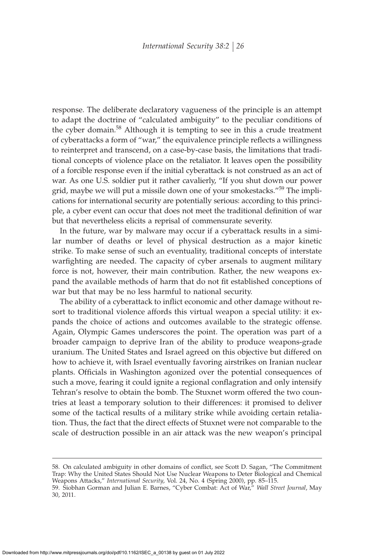response. The deliberate declaratory vagueness of the principle is an attempt to adapt the doctrine of "calculated ambiguity" to the peculiar conditions of the cyber domain.<sup>58</sup> Although it is tempting to see in this a crude treatment of cyberattacks a form of "war," the equivalence principle reflects a willingness to reinterpret and transcend, on a case-by-case basis, the limitations that traditional concepts of violence place on the retaliator. It leaves open the possibility of a forcible response even if the initial cyberattack is not construed as an act of war. As one U.S. soldier put it rather cavalierly, "If you shut down our power grid, maybe we will put a missile down one of your smokestacks."<sup>59</sup> The implications for international security are potentially serious: according to this principle, a cyber event can occur that does not meet the traditional definition of war but that nevertheless elicits a reprisal of commensurate severity.

In the future, war by malware may occur if a cyberattack results in a similar number of deaths or level of physical destruction as a major kinetic strike. To make sense of such an eventuality, traditional concepts of interstate warfighting are needed. The capacity of cyber arsenals to augment military force is not, however, their main contribution. Rather, the new weapons expand the available methods of harm that do not fit established conceptions of war but that may be no less harmful to national security.

The ability of a cyberattack to inflict economic and other damage without resort to traditional violence affords this virtual weapon a special utility: it expands the choice of actions and outcomes available to the strategic offense. Again, Olympic Games underscores the point. The operation was part of a broader campaign to deprive Iran of the ability to produce weapons-grade uranium. The United States and Israel agreed on this objective but differed on how to achieve it, with Israel eventually favoring airstrikes on Iranian nuclear plants. Officials in Washington agonized over the potential consequences of such a move, fearing it could ignite a regional conflagration and only intensify Tehran's resolve to obtain the bomb. The Stuxnet worm offered the two countries at least a temporary solution to their differences: it promised to deliver some of the tactical results of a military strike while avoiding certain retaliation. Thus, the fact that the direct effects of Stuxnet were not comparable to the scale of destruction possible in an air attack was the new weapon's principal

<sup>58.</sup> On calculated ambiguity in other domains of conflict, see Scott D. Sagan, "The Commitment Trap: Why the United States Should Not Use Nuclear Weapons to Deter Biological and Chemical Weapons Attacks," *International Security*, Vol. 24, No. 4 (Spring 2000), pp. 85–115.

<sup>59.</sup> Siobhan Gorman and Julian E. Barnes, "Cyber Combat: Act of War," *Wall Street Journal*, May 30, 2011.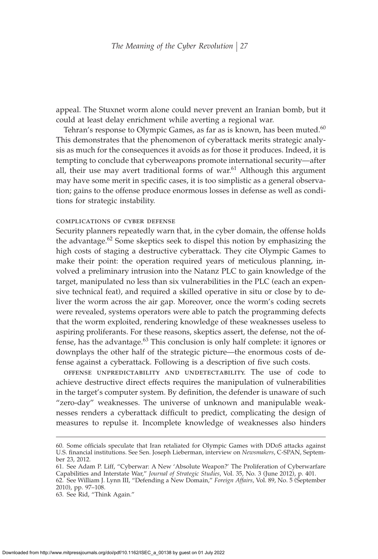appeal. The Stuxnet worm alone could never prevent an Iranian bomb, but it could at least delay enrichment while averting a regional war.

Tehran's response to Olympic Games, as far as is known, has been muted. $^{60}$ This demonstrates that the phenomenon of cyberattack merits strategic analysis as much for the consequences it avoids as for those it produces. Indeed, it is tempting to conclude that cyberweapons promote international security—after all, their use may avert traditional forms of war. $61$  Although this argument may have some merit in specific cases, it is too simplistic as a general observation; gains to the offense produce enormous losses in defense as well as conditions for strategic instability.

#### complications of cyber defense

Security planners repeatedly warn that, in the cyber domain, the offense holds the advantage.<sup>62</sup> Some skeptics seek to dispel this notion by emphasizing the high costs of staging a destructive cyberattack. They cite Olympic Games to make their point: the operation required years of meticulous planning, involved a preliminary intrusion into the Natanz PLC to gain knowledge of the target, manipulated no less than six vulnerabilities in the PLC (each an expensive technical feat), and required a skilled operative in situ or close by to deliver the worm across the air gap. Moreover, once the worm's coding secrets were revealed, systems operators were able to patch the programming defects that the worm exploited, rendering knowledge of these weaknesses useless to aspiring proliferants. For these reasons, skeptics assert, the defense, not the offense, has the advantage.<sup>63</sup> This conclusion is only half complete: it ignores or downplays the other half of the strategic picture—the enormous costs of defense against a cyberattack. Following is a description of five such costs.

offense unpredictability and undetectability. The use of code to achieve destructive direct effects requires the manipulation of vulnerabilities in the target's computer system. By definition, the defender is unaware of such "zero-day" weaknesses. The universe of unknown and manipulable weaknesses renders a cyberattack difficult to predict, complicating the design of measures to repulse it. Incomplete knowledge of weaknesses also hinders

<sup>60.</sup> Some officials speculate that Iran retaliated for Olympic Games with DDoS attacks against U.S. financial institutions. See Sen. Joseph Lieberman, interview on *Newsmakers*, C-SPAN, September 23, 2012.

<sup>61.</sup> See Adam P. Liff, "Cyberwar: A New 'Absolute Weapon?' The Proliferation of Cyberwarfare Capabilities and Interstate War," *Journal of Strategic Studies*, Vol. 35, No. 3 (June 2012), p. 401. 62. See William J. Lynn III, "Defending a New Domain," *Foreign Affairs*, Vol. 89, No. 5 (September 2010), pp. 97–108.

<sup>63.</sup> See Rid, "Think Again."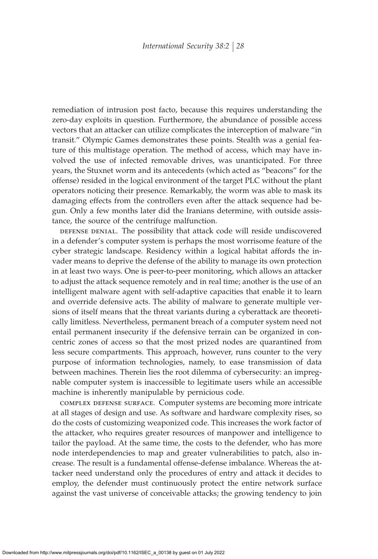remediation of intrusion post facto, because this requires understanding the zero-day exploits in question. Furthermore, the abundance of possible access vectors that an attacker can utilize complicates the interception of malware "in transit." Olympic Games demonstrates these points. Stealth was a genial feature of this multistage operation. The method of access, which may have involved the use of infected removable drives, was unanticipated. For three years, the Stuxnet worm and its antecedents (which acted as "beacons" for the offense) resided in the logical environment of the target PLC without the plant operators noticing their presence. Remarkably, the worm was able to mask its damaging effects from the controllers even after the attack sequence had begun. Only a few months later did the Iranians determine, with outside assistance, the source of the centrifuge malfunction.

defense denial. The possibility that attack code will reside undiscovered in a defender's computer system is perhaps the most worrisome feature of the cyber strategic landscape. Residency within a logical habitat affords the invader means to deprive the defense of the ability to manage its own protection in at least two ways. One is peer-to-peer monitoring, which allows an attacker to adjust the attack sequence remotely and in real time; another is the use of an intelligent malware agent with self-adaptive capacities that enable it to learn and override defensive acts. The ability of malware to generate multiple versions of itself means that the threat variants during a cyberattack are theoretically limitless. Nevertheless, permanent breach of a computer system need not entail permanent insecurity if the defensive terrain can be organized in concentric zones of access so that the most prized nodes are quarantined from less secure compartments. This approach, however, runs counter to the very purpose of information technologies, namely, to ease transmission of data between machines. Therein lies the root dilemma of cybersecurity: an impregnable computer system is inaccessible to legitimate users while an accessible machine is inherently manipulable by pernicious code.

complex defense surface. Computer systems are becoming more intricate at all stages of design and use. As software and hardware complexity rises, so do the costs of customizing weaponized code. This increases the work factor of the attacker, who requires greater resources of manpower and intelligence to tailor the payload. At the same time, the costs to the defender, who has more node interdependencies to map and greater vulnerabilities to patch, also increase. The result is a fundamental offense-defense imbalance. Whereas the attacker need understand only the procedures of entry and attack it decides to employ, the defender must continuously protect the entire network surface against the vast universe of conceivable attacks; the growing tendency to join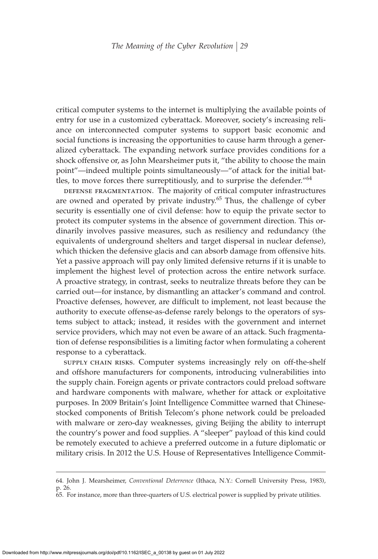critical computer systems to the internet is multiplying the available points of entry for use in a customized cyberattack. Moreover, society's increasing reliance on interconnected computer systems to support basic economic and social functions is increasing the opportunities to cause harm through a generalized cyberattack. The expanding network surface provides conditions for a shock offensive or, as John Mearsheimer puts it, "the ability to choose the main point"—indeed multiple points simultaneously—"of attack for the initial battles, to move forces there surreptitiously, and to surprise the defender."<sup>64</sup>

defense fragmentation. The majority of critical computer infrastructures are owned and operated by private industry.<sup>65</sup> Thus, the challenge of cyber security is essentially one of civil defense: how to equip the private sector to protect its computer systems in the absence of government direction. This ordinarily involves passive measures, such as resiliency and redundancy (the equivalents of underground shelters and target dispersal in nuclear defense), which thicken the defensive glacis and can absorb damage from offensive hits. Yet a passive approach will pay only limited defensive returns if it is unable to implement the highest level of protection across the entire network surface. A proactive strategy, in contrast, seeks to neutralize threats before they can be carried out—for instance, by dismantling an attacker's command and control. Proactive defenses, however, are difficult to implement, not least because the authority to execute offense-as-defense rarely belongs to the operators of systems subject to attack; instead, it resides with the government and internet service providers, which may not even be aware of an attack. Such fragmentation of defense responsibilities is a limiting factor when formulating a coherent response to a cyberattack.

supply chain risks. Computer systems increasingly rely on off-the-shelf and offshore manufacturers for components, introducing vulnerabilities into the supply chain. Foreign agents or private contractors could preload software and hardware components with malware, whether for attack or exploitative purposes. In 2009 Britain's Joint Intelligence Committee warned that Chinesestocked components of British Telecom's phone network could be preloaded with malware or zero-day weaknesses, giving Beijing the ability to interrupt the country's power and food supplies. A "sleeper" payload of this kind could be remotely executed to achieve a preferred outcome in a future diplomatic or military crisis. In 2012 the U.S. House of Representatives Intelligence Commit-

<sup>64.</sup> John J. Mearsheimer, *Conventional Deterrence* (Ithaca, N.Y.: Cornell University Press, 1983), p. 26.

<sup>65.</sup> For instance, more than three-quarters of U.S. electrical power is supplied by private utilities.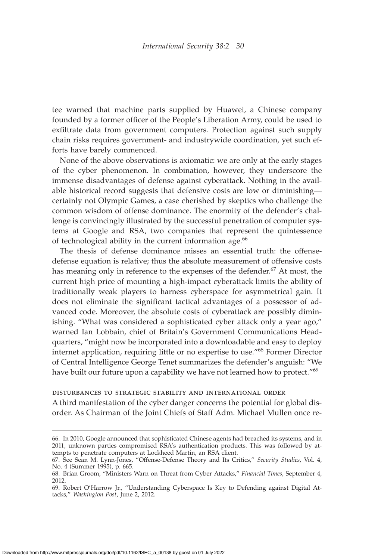tee warned that machine parts supplied by Huawei, a Chinese company founded by a former officer of the People's Liberation Army, could be used to exfiltrate data from government computers. Protection against such supply chain risks requires government- and industrywide coordination, yet such efforts have barely commenced.

None of the above observations is axiomatic: we are only at the early stages of the cyber phenomenon. In combination, however, they underscore the immense disadvantages of defense against cyberattack. Nothing in the available historical record suggests that defensive costs are low or diminishing certainly not Olympic Games, a case cherished by skeptics who challenge the common wisdom of offense dominance. The enormity of the defender's challenge is convincingly illustrated by the successful penetration of computer systems at Google and RSA, two companies that represent the quintessence of technological ability in the current information age. $66$ 

The thesis of defense dominance misses an essential truth: the offensedefense equation is relative; thus the absolute measurement of offensive costs has meaning only in reference to the expenses of the defender.<sup>67</sup> At most, the current high price of mounting a high-impact cyberattack limits the ability of traditionally weak players to harness cyberspace for asymmetrical gain. It does not eliminate the significant tactical advantages of a possessor of advanced code. Moreover, the absolute costs of cyberattack are possibly diminishing. "What was considered a sophisticated cyber attack only a year ago," warned Ian Lobbain, chief of Britain's Government Communications Headquarters, "might now be incorporated into a downloadable and easy to deploy internet application, requiring little or no expertise to use."<sup>68</sup> Former Director of Central Intelligence George Tenet summarizes the defender's anguish: "We have built our future upon a capability we have not learned how to protect."<sup>69</sup>

#### disturbances to strategic stability and international order

A third manifestation of the cyber danger concerns the potential for global disorder. As Chairman of the Joint Chiefs of Staff Adm. Michael Mullen once re-

<sup>66.</sup> In 2010, Google announced that sophisticated Chinese agents had breached its systems, and in 2011, unknown parties compromised RSA's authentication products. This was followed by attempts to penetrate computers at Lockheed Martin, an RSA client.

<sup>67.</sup> See Sean M. Lynn-Jones, "Offense-Defense Theory and Its Critics," *Security Studies*, Vol. 4, No. 4 (Summer 1995), p. 665.

<sup>68.</sup> Brian Groom, "Ministers Warn on Threat from Cyber Attacks," *Financial Times*, September 4, 2012.

<sup>69.</sup> Robert O'Harrow Jr., "Understanding Cyberspace Is Key to Defending against Digital Attacks," *Washington Post*, June 2, 2012.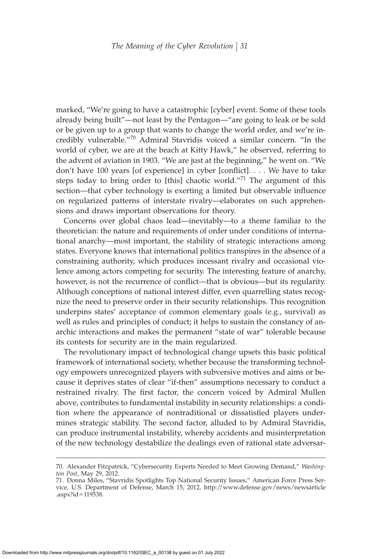marked, "We're going to have a catastrophic [cyber] event. Some of these tools already being built"—not least by the Pentagon—"are going to leak or be sold or be given up to a group that wants to change the world order, and we're incredibly vulnerable."<sup>70</sup> Admiral Stavridis voiced a similar concern. "In the world of cyber, we are at the beach at Kitty Hawk," he observed, referring to the advent of aviation in 1903. "We are just at the beginning," he went on. "We don't have 100 years [of experience] in cyber [conflict].  $\ldots$  We have to take steps today to bring order to [this] chaotic world."<sup>71</sup> The argument of this section—that cyber technology is exerting a limited but observable influence on regularized patterns of interstate rivalry—elaborates on such apprehensions and draws important observations for theory.

Concerns over global chaos lead—inevitably—to a theme familiar to the theoretician: the nature and requirements of order under conditions of international anarchy—most important, the stability of strategic interactions among states. Everyone knows that international politics transpires in the absence of a constraining authority, which produces incessant rivalry and occasional violence among actors competing for security. The interesting feature of anarchy, however, is not the recurrence of conflict—that is obvious—but its regularity. Although conceptions of national interest differ, even quarrelling states recognize the need to preserve order in their security relationships. This recognition underpins states' acceptance of common elementary goals (e.g., survival) as well as rules and principles of conduct; it helps to sustain the constancy of anarchic interactions and makes the permanent "state of war" tolerable because its contests for security are in the main regularized.

The revolutionary impact of technological change upsets this basic political framework of international society, whether because the transforming technology empowers unrecognized players with subversive motives and aims or because it deprives states of clear "if-then" assumptions necessary to conduct a restrained rivalry. The first factor, the concern voiced by Admiral Mullen above, contributes to fundamental instability in security relationships: a condition where the appearance of nontraditional or dissatisfied players undermines strategic stability. The second factor, alluded to by Admiral Stavridis, can produce instrumental instability, whereby accidents and misinterpretation of the new technology destabilize the dealings even of rational state adversar-

<sup>70.</sup> Alexander Fitzpatrick, "Cybersecurity Experts Needed to Meet Growing Demand," *Washington Post*, May 29, 2012.

<sup>71.</sup> Donna Miles, "Stavridis Spotlights Top National Security Issues," American Force Press Service, U.S. Department of Defense, March 15, 2012, http://www.defense.gov/news/newsarticle .aspx?id-119538.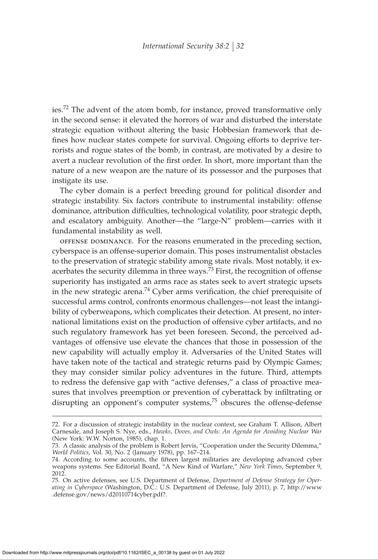ies.<sup>72</sup> The advent of the atom bomb, for instance, proved transformative only in the second sense: it elevated the horrors of war and disturbed the interstate strategic equation without altering the basic Hobbesian framework that defines how nuclear states compete for survival. Ongoing efforts to deprive terrorists and rogue states of the bomb, in contrast, are motivated by a desire to avert a nuclear revolution of the first order. In short, more important than the nature of a new weapon are the nature of its possessor and the purposes that instigate its use.

The cyber domain is a perfect breeding ground for political disorder and strategic instability. Six factors contribute to instrumental instability: offense dominance, attribution difficulties, technological volatility, poor strategic depth, and escalatory ambiguity. Another—the "large-N" problem—carries with it fundamental instability as well.

offense dominance. For the reasons enumerated in the preceding section, cyberspace is an offense-superior domain. This poses instrumentalist obstacles to the preservation of strategic stability among state rivals. Most notably, it exacerbates the security dilemma in three ways.<sup>73</sup> First, the recognition of offense superiority has instigated an arms race as states seek to avert strategic upsets in the new strategic arena.<sup>74</sup> Cyber arms verification, the chief prerequisite of successful arms control, confronts enormous challenges—not least the intangibility of cyberweapons, which complicates their detection. At present, no international limitations exist on the production of offensive cyber artifacts, and no such regulatory framework has yet been foreseen. Second, the perceived advantages of offensive use elevate the chances that those in possession of the new capability will actually employ it. Adversaries of the United States will have taken note of the tactical and strategic returns paid by Olympic Games; they may consider similar policy adventures in the future. Third, attempts to redress the defensive gap with "active defenses," a class of proactive measures that involves preemption or prevention of cyberattack by infiltrating or disrupting an opponent's computer systems,<sup>75</sup> obscures the offense-defense

<sup>72.</sup> For a discussion of strategic instability in the nuclear context, see Graham T. Allison, Albert Carnesale, and Joseph S. Nye, eds., *Hawks, Doves, and Owls: An Agenda for Avoiding Nuclear War* (New York: W.W. Norton, 1985), chap. 1.

<sup>73.</sup> A classic analysis of the problem is Robert Jervis, "Cooperation under the Security Dilemma," *World Politics*, Vol. 30, No. 2 (January 1978), pp. 167–214.

<sup>74.</sup> According to some accounts, the fifteen largest militaries are developing advanced cyber weapons systems. See Editorial Board, "A New Kind of Warfare," *New York Times*, September 9, 2012.

<sup>75.</sup> On active defenses, see U.S. Department of Defense, *Department of Defense Strategy for Operating in Cyberspace* (Washington, D.C.: U.S. Department of Defense, July 2011), p. 7, http://www .defense.gov/news/d20110714cyber.pdf?.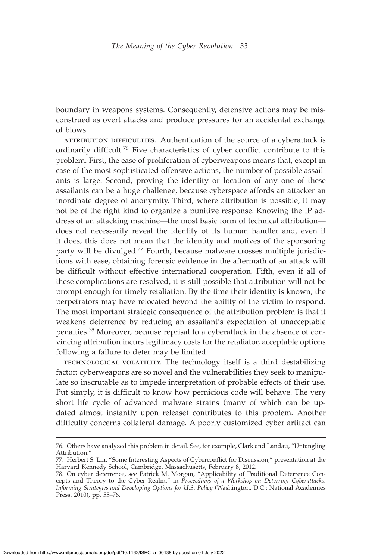boundary in weapons systems. Consequently, defensive actions may be misconstrued as overt attacks and produce pressures for an accidental exchange of blows.

ATTRIBUTION DIFFICULTIES. Authentication of the source of a cyberattack is ordinarily difficult.<sup>76</sup> Five characteristics of cyber conflict contribute to this problem. First, the ease of proliferation of cyberweapons means that, except in case of the most sophisticated offensive actions, the number of possible assailants is large. Second, proving the identity or location of any one of these assailants can be a huge challenge, because cyberspace affords an attacker an inordinate degree of anonymity. Third, where attribution is possible, it may not be of the right kind to organize a punitive response. Knowing the IP address of an attacking machine—the most basic form of technical attribution does not necessarily reveal the identity of its human handler and, even if it does, this does not mean that the identity and motives of the sponsoring party will be divulged.<sup>77</sup> Fourth, because malware crosses multiple jurisdictions with ease, obtaining forensic evidence in the aftermath of an attack will be difficult without effective international cooperation. Fifth, even if all of these complications are resolved, it is still possible that attribution will not be prompt enough for timely retaliation. By the time their identity is known, the perpetrators may have relocated beyond the ability of the victim to respond. The most important strategic consequence of the attribution problem is that it weakens deterrence by reducing an assailant's expectation of unacceptable penalties.<sup>78</sup> Moreover, because reprisal to a cyberattack in the absence of convincing attribution incurs legitimacy costs for the retaliator, acceptable options following a failure to deter may be limited.

technological volatility. The technology itself is a third destabilizing factor: cyberweapons are so novel and the vulnerabilities they seek to manipulate so inscrutable as to impede interpretation of probable effects of their use. Put simply, it is difficult to know how pernicious code will behave. The very short life cycle of advanced malware strains (many of which can be updated almost instantly upon release) contributes to this problem. Another difficulty concerns collateral damage. A poorly customized cyber artifact can

<sup>76.</sup> Others have analyzed this problem in detail. See, for example, Clark and Landau, "Untangling Attribution."

<sup>77.</sup> Herbert S. Lin, "Some Interesting Aspects of Cyberconflict for Discussion," presentation at the Harvard Kennedy School, Cambridge, Massachusetts, February 8, 2012.

<sup>78.</sup> On cyber deterrence, see Patrick M. Morgan, "Applicability of Traditional Deterrence Concepts and Theory to the Cyber Realm," in *Proceedings of a Workshop on Deterring Cyberattacks: Informing Strategies and Developing Options for U.S. Policy* (Washington, D.C.: National Academies Press, 2010), pp. 55–76.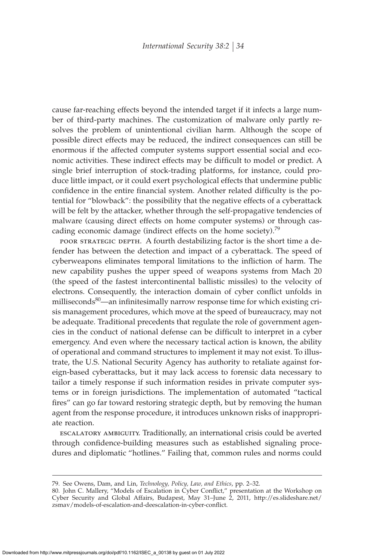cause far-reaching effects beyond the intended target if it infects a large number of third-party machines. The customization of malware only partly resolves the problem of unintentional civilian harm. Although the scope of possible direct effects may be reduced, the indirect consequences can still be enormous if the affected computer systems support essential social and economic activities. These indirect effects may be difficult to model or predict. A single brief interruption of stock-trading platforms, for instance, could produce little impact, or it could exert psychological effects that undermine public confidence in the entire financial system. Another related difficulty is the potential for "blowback": the possibility that the negative effects of a cyberattack will be felt by the attacker, whether through the self-propagative tendencies of malware (causing direct effects on home computer systems) or through cascading economic damage (indirect effects on the home society).<sup>79</sup>

poor strategic depth. A fourth destabilizing factor is the short time a defender has between the detection and impact of a cyberattack. The speed of cyberweapons eliminates temporal limitations to the infliction of harm. The new capability pushes the upper speed of weapons systems from Mach 20 (the speed of the fastest intercontinental ballistic missiles) to the velocity of electrons. Consequently, the interaction domain of cyber conflict unfolds in milliseconds<sup>80</sup>—an infinitesimally narrow response time for which existing crisis management procedures, which move at the speed of bureaucracy, may not be adequate. Traditional precedents that regulate the role of government agencies in the conduct of national defense can be difficult to interpret in a cyber emergency. And even where the necessary tactical action is known, the ability of operational and command structures to implement it may not exist. To illustrate, the U.S. National Security Agency has authority to retaliate against foreign-based cyberattacks, but it may lack access to forensic data necessary to tailor a timely response if such information resides in private computer systems or in foreign jurisdictions. The implementation of automated "tactical fires" can go far toward restoring strategic depth, but by removing the human agent from the response procedure, it introduces unknown risks of inappropriate reaction.

escalatory ambiguity. Traditionally, an international crisis could be averted through confidence-building measures such as established signaling procedures and diplomatic "hotlines." Failing that, common rules and norms could

<sup>79.</sup> See Owens, Dam, and Lin, *Technology, Policy, Law, and Ethics*, pp. 2–32.

<sup>80.</sup> John C. Mallery, "Models of Escalation in Cyber Conflict," presentation at the Workshop on Cyber Security and Global Affairs, Budapest, May 31–June 2, 2011, http://es.slideshare.net/ zsmav/models-of-escalation-and-deescalation-in-cyber-conflict.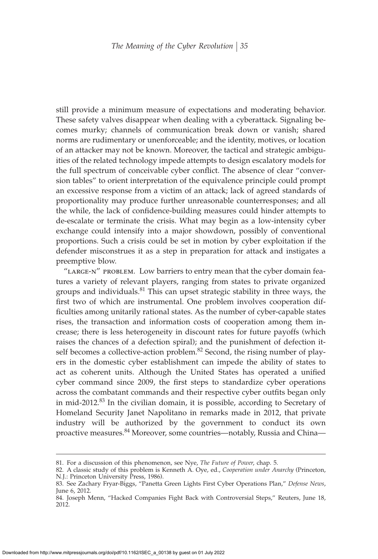still provide a minimum measure of expectations and moderating behavior. These safety valves disappear when dealing with a cyberattack. Signaling becomes murky; channels of communication break down or vanish; shared norms are rudimentary or unenforceable; and the identity, motives, or location of an attacker may not be known. Moreover, the tactical and strategic ambiguities of the related technology impede attempts to design escalatory models for the full spectrum of conceivable cyber conflict. The absence of clear "conversion tables" to orient interpretation of the equivalence principle could prompt an excessive response from a victim of an attack; lack of agreed standards of proportionality may produce further unreasonable counterresponses; and all the while, the lack of confidence-building measures could hinder attempts to de-escalate or terminate the crisis. What may begin as a low-intensity cyber exchange could intensify into a major showdown, possibly of conventional proportions. Such a crisis could be set in motion by cyber exploitation if the defender misconstrues it as a step in preparation for attack and instigates a preemptive blow.

"LARGE-N" PROBLEM. Low barriers to entry mean that the cyber domain features a variety of relevant players, ranging from states to private organized groups and individuals. $81$  This can upset strategic stability in three ways, the first two of which are instrumental. One problem involves cooperation difficulties among unitarily rational states. As the number of cyber-capable states rises, the transaction and information costs of cooperation among them increase; there is less heterogeneity in discount rates for future payoffs (which raises the chances of a defection spiral); and the punishment of defection itself becomes a collective-action problem.<sup>82</sup> Second, the rising number of players in the domestic cyber establishment can impede the ability of states to act as coherent units. Although the United States has operated a unified cyber command since 2009, the first steps to standardize cyber operations across the combatant commands and their respective cyber outfits began only in mid-2012.<sup>83</sup> In the civilian domain, it is possible, according to Secretary of Homeland Security Janet Napolitano in remarks made in 2012, that private industry will be authorized by the government to conduct its own proactive measures.<sup>84</sup> Moreover, some countries—notably, Russia and China—

<sup>81.</sup> For a discussion of this phenomenon, see Nye, *The Future of Power*, chap. 5.

<sup>82.</sup> A classic study of this problem is Kenneth A. Oye, ed., *Cooperation under Anarchy* (Princeton, N.J.: Princeton University Press, 1986).

<sup>83.</sup> See Zachary Fryar-Biggs, "Panetta Green Lights First Cyber Operations Plan," *Defense News*, June 6, 2012.

<sup>84.</sup> Joseph Menn, "Hacked Companies Fight Back with Controversial Steps," Reuters, June 18, 2012.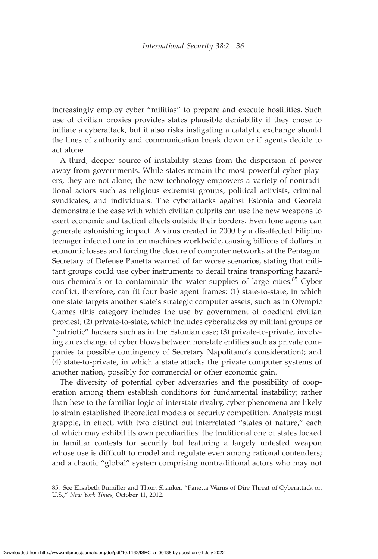increasingly employ cyber "militias" to prepare and execute hostilities. Such use of civilian proxies provides states plausible deniability if they chose to initiate a cyberattack, but it also risks instigating a catalytic exchange should the lines of authority and communication break down or if agents decide to act alone.

A third, deeper source of instability stems from the dispersion of power away from governments. While states remain the most powerful cyber players, they are not alone; the new technology empowers a variety of nontraditional actors such as religious extremist groups, political activists, criminal syndicates, and individuals. The cyberattacks against Estonia and Georgia demonstrate the ease with which civilian culprits can use the new weapons to exert economic and tactical effects outside their borders. Even lone agents can generate astonishing impact. A virus created in 2000 by a disaffected Filipino teenager infected one in ten machines worldwide, causing billions of dollars in economic losses and forcing the closure of computer networks at the Pentagon. Secretary of Defense Panetta warned of far worse scenarios, stating that militant groups could use cyber instruments to derail trains transporting hazardous chemicals or to contaminate the water supplies of large cities.<sup>85</sup> Cyber conflict, therefore, can fit four basic agent frames: (1) state-to-state, in which one state targets another state's strategic computer assets, such as in Olympic Games (this category includes the use by government of obedient civilian proxies); (2) private-to-state, which includes cyberattacks by militant groups or "patriotic" hackers such as in the Estonian case; (3) private-to-private, involving an exchange of cyber blows between nonstate entities such as private companies (a possible contingency of Secretary Napolitano's consideration); and (4) state-to-private, in which a state attacks the private computer systems of another nation, possibly for commercial or other economic gain.

The diversity of potential cyber adversaries and the possibility of cooperation among them establish conditions for fundamental instability; rather than hew to the familiar logic of interstate rivalry, cyber phenomena are likely to strain established theoretical models of security competition. Analysts must grapple, in effect, with two distinct but interrelated "states of nature," each of which may exhibit its own peculiarities: the traditional one of states locked in familiar contests for security but featuring a largely untested weapon whose use is difficult to model and regulate even among rational contenders; and a chaotic "global" system comprising nontraditional actors who may not

<sup>85.</sup> See Elisabeth Bumiller and Thom Shanker, "Panetta Warns of Dire Threat of Cyberattack on U.S.," *New York Times*, October 11, 2012.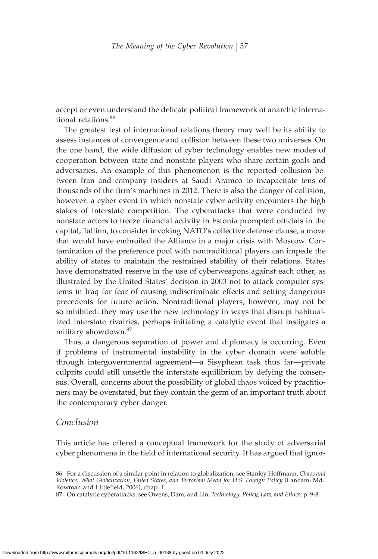accept or even understand the delicate political framework of anarchic international relations.<sup>86</sup>

The greatest test of international relations theory may well be its ability to assess instances of convergence and collision between these two universes. On the one hand, the wide diffusion of cyber technology enables new modes of cooperation between state and nonstate players who share certain goals and adversaries. An example of this phenomenon is the reported collusion between Iran and company insiders at Saudi Aramco to incapacitate tens of thousands of the firm's machines in 2012. There is also the danger of collision, however: a cyber event in which nonstate cyber activity encounters the high stakes of interstate competition. The cyberattacks that were conducted by nonstate actors to freeze financial activity in Estonia prompted officials in the capital, Tallinn, to consider invoking NATO's collective defense clause, a move that would have embroiled the Alliance in a major crisis with Moscow. Contamination of the preference pool with nontraditional players can impede the ability of states to maintain the restrained stability of their relations. States have demonstrated reserve in the use of cyberweapons against each other, as illustrated by the United States' decision in 2003 not to attack computer systems in Iraq for fear of causing indiscriminate effects and setting dangerous precedents for future action. Nontraditional players, however, may not be so inhibited: they may use the new technology in ways that disrupt habitualized interstate rivalries, perhaps initiating a catalytic event that instigates a military showdown.<sup>87</sup>

Thus, a dangerous separation of power and diplomacy is occurring. Even if problems of instrumental instability in the cyber domain were soluble through intergovernmental agreement—a Sisyphean task thus far—private culprits could still unsettle the interstate equilibrium by defying the consensus. Overall, concerns about the possibility of global chaos voiced by practitioners may be overstated, but they contain the germ of an important truth about the contemporary cyber danger.

## *Conclusion*

This article has offered a conceptual framework for the study of adversarial cyber phenomena in the field of international security. It has argued that ignor-

<sup>86.</sup> For a discussion of a similar point in relation to globalization, see Stanley Hoffmann, *Chaos and Violence: What Globalization, Failed States, and Terrorism Mean for U.S. Foreign Policy* (Lanham, Md.: Rowman and Littlefield, 2006), chap. 1.

<sup>87.</sup> On catalytic cyberattacks, see Owens, Dam, and Lin, *Technology, Policy, Law, and Ethics*, p. 9-8.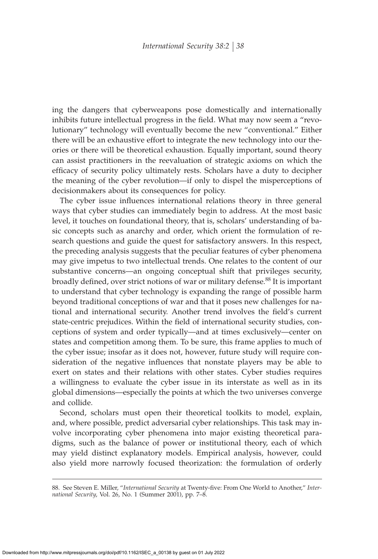ing the dangers that cyberweapons pose domestically and internationally inhibits future intellectual progress in the field. What may now seem a "revolutionary" technology will eventually become the new "conventional." Either there will be an exhaustive effort to integrate the new technology into our theories or there will be theoretical exhaustion. Equally important, sound theory can assist practitioners in the reevaluation of strategic axioms on which the efficacy of security policy ultimately rests. Scholars have a duty to decipher the meaning of the cyber revolution—if only to dispel the misperceptions of decisionmakers about its consequences for policy.

The cyber issue influences international relations theory in three general ways that cyber studies can immediately begin to address. At the most basic level, it touches on foundational theory, that is, scholars' understanding of basic concepts such as anarchy and order, which orient the formulation of research questions and guide the quest for satisfactory answers. In this respect, the preceding analysis suggests that the peculiar features of cyber phenomena may give impetus to two intellectual trends. One relates to the content of our substantive concerns—an ongoing conceptual shift that privileges security, broadly defined, over strict notions of war or military defense.<sup>88</sup> It is important to understand that cyber technology is expanding the range of possible harm beyond traditional conceptions of war and that it poses new challenges for national and international security. Another trend involves the field's current state-centric prejudices. Within the field of international security studies, conceptions of system and order typically—and at times exclusively—center on states and competition among them. To be sure, this frame applies to much of the cyber issue; insofar as it does not, however, future study will require consideration of the negative influences that nonstate players may be able to exert on states and their relations with other states. Cyber studies requires a willingness to evaluate the cyber issue in its interstate as well as in its global dimensions—especially the points at which the two universes converge and collide.

Second, scholars must open their theoretical toolkits to model, explain, and, where possible, predict adversarial cyber relationships. This task may involve incorporating cyber phenomena into major existing theoretical paradigms, such as the balance of power or institutional theory, each of which may yield distinct explanatory models. Empirical analysis, however, could also yield more narrowly focused theorization: the formulation of orderly

<sup>88.</sup> See Steven E. Miller, "International Security at Twenty-five: From One World to Another," Inter*national Security*, Vol. 26, No. 1 (Summer 2001), pp. 7–8.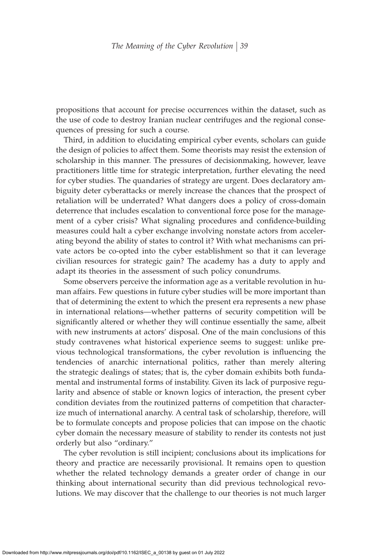propositions that account for precise occurrences within the dataset, such as the use of code to destroy Iranian nuclear centrifuges and the regional consequences of pressing for such a course.

Third, in addition to elucidating empirical cyber events, scholars can guide the design of policies to affect them. Some theorists may resist the extension of scholarship in this manner. The pressures of decisionmaking, however, leave practitioners little time for strategic interpretation, further elevating the need for cyber studies. The quandaries of strategy are urgent. Does declaratory ambiguity deter cyberattacks or merely increase the chances that the prospect of retaliation will be underrated? What dangers does a policy of cross-domain deterrence that includes escalation to conventional force pose for the management of a cyber crisis? What signaling procedures and confidence-building measures could halt a cyber exchange involving nonstate actors from accelerating beyond the ability of states to control it? With what mechanisms can private actors be co-opted into the cyber establishment so that it can leverage civilian resources for strategic gain? The academy has a duty to apply and adapt its theories in the assessment of such policy conundrums.

Some observers perceive the information age as a veritable revolution in human affairs. Few questions in future cyber studies will be more important than that of determining the extent to which the present era represents a new phase in international relations—whether patterns of security competition will be significantly altered or whether they will continue essentially the same, albeit with new instruments at actors' disposal. One of the main conclusions of this study contravenes what historical experience seems to suggest: unlike previous technological transformations, the cyber revolution is influencing the tendencies of anarchic international politics, rather than merely altering the strategic dealings of states; that is, the cyber domain exhibits both fundamental and instrumental forms of instability. Given its lack of purposive regularity and absence of stable or known logics of interaction, the present cyber condition deviates from the routinized patterns of competition that characterize much of international anarchy. A central task of scholarship, therefore, will be to formulate concepts and propose policies that can impose on the chaotic cyber domain the necessary measure of stability to render its contests not just orderly but also "ordinary."

The cyber revolution is still incipient; conclusions about its implications for theory and practice are necessarily provisional. It remains open to question whether the related technology demands a greater order of change in our thinking about international security than did previous technological revolutions. We may discover that the challenge to our theories is not much larger